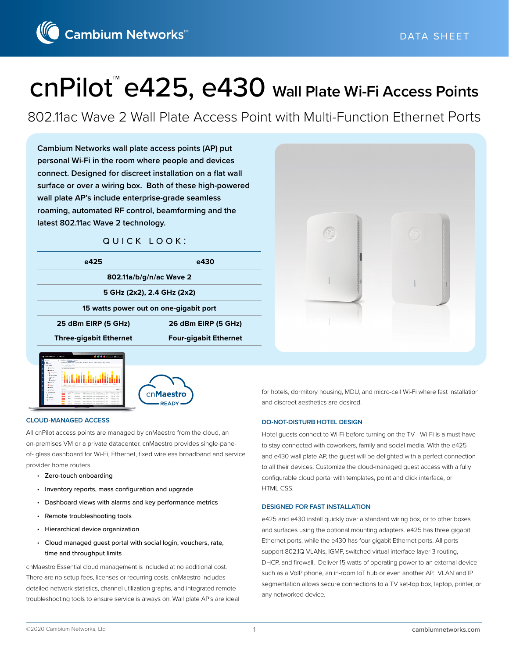

# cnPilot™ e425, e430 **Wall Plate Wi-Fi Access Points**

802.11ac Wave 2 Wall Plate Access Point with Multi-Function Ethernet Ports

**Cambium Networks wall plate access points (AP) put personal Wi-Fi in the room where people and devices connect. Designed for discreet installation on a flat wall surface or over a wiring box. Both of these high-powered wall plate AP's include enterprise-grade seamless roaming, automated RF control, beamforming and the latest 802.11ac Wave 2 technology.**

#### quick look:

| e425                          | e430                                   |
|-------------------------------|----------------------------------------|
|                               | 802.11a/b/g/n/ac Wave 2                |
|                               | 5 GHz (2x2), 2.4 GHz (2x2)             |
|                               | 15 watts power out on one-gigabit port |
| 25 dBm EIRP (5 GHz)           | 26 dBm EIRP (5 GHz)                    |
| <b>Three-gigabit Ethernet</b> | <b>Four-gigabit Ethernet</b>           |







#### **CLOUD-MANAGED ACCESS**

All cnPilot access points are managed by cnMaestro from the cloud, an on-premises VM or a private datacenter. cnMaestro provides single-paneof- glass dashboard for Wi-Fi, Ethernet, fixed wireless broadband and service provider home routers.

- Zero-touch onboarding
- Inventory reports, mass configuration and upgrade
- Dashboard views with alarms and key performance metrics
- Remote troubleshooting tools
- Hierarchical device organization
- Cloud managed guest portal with social login, vouchers, rate, time and throughput limits

cnMaestro Essential cloud management is included at no additional cost. There are no setup fees, licenses or recurring costs. cnMaestro includes detailed network statistics, channel utilization graphs, and integrated remote troubleshooting tools to ensure service is always on. Wall plate AP's are ideal for hotels, dormitory housing, MDU, and micro-cell Wi-Fi where fast installation and discreet aesthetics are desired.

#### **DO-NOT-DISTURB HOTEL DESIGN**

Hotel guests connect to Wi-Fi before turning on the TV - Wi-Fi is a must-have to stay connected with coworkers, family and social media. With the e425 and e430 wall plate AP, the guest will be delighted with a perfect connection to all their devices. Customize the cloud-managed guest access with a fully configurable cloud portal with templates, point and click interface, or HTML CSS.

#### **DESIGNED FOR FAST INSTALLATION**

e425 and e430 install quickly over a standard wiring box, or to other boxes and surfaces using the optional mounting adapters. e425 has three gigabit Ethernet ports, while the e430 has four gigabit Ethernet ports. All ports support 802.1Q VLANs, IGMP, switched virtual interface layer 3 routing, DHCP, and firewall. Deliver 15 watts of operating power to an external device such as a VoIP phone, an in-room IoT hub or even another AP. VLAN and IP segmentation allows secure connections to a TV set-top box, laptop, printer, or any networked device.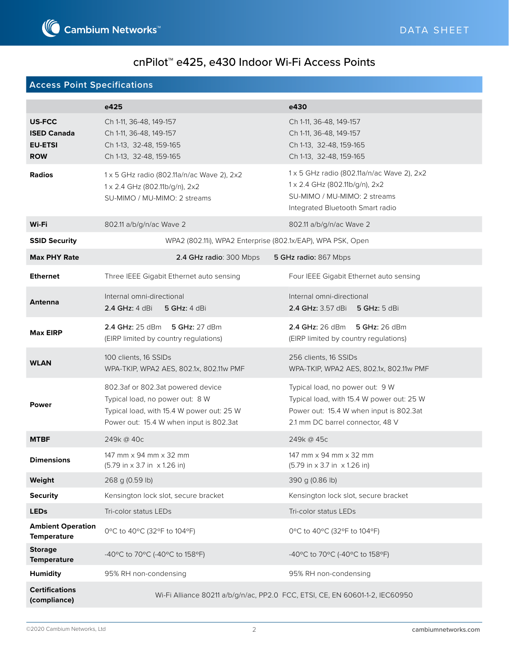# **Access Point Specifications**

|                                                                     | e425                                                                                                                                                         | e430                                                                                                                                                        |
|---------------------------------------------------------------------|--------------------------------------------------------------------------------------------------------------------------------------------------------------|-------------------------------------------------------------------------------------------------------------------------------------------------------------|
| <b>US-FCC</b><br><b>ISED Canada</b><br><b>EU-ETSI</b><br><b>ROW</b> | Ch 1-11, 36-48, 149-157<br>Ch 1-11, 36-48, 149-157<br>Ch 1-13, 32-48, 159-165<br>Ch 1-13, 32-48, 159-165                                                     | Ch 1-11, 36-48, 149-157<br>Ch 1-11, 36-48, 149-157<br>Ch 1-13, 32-48, 159-165<br>Ch 1-13, 32-48, 159-165                                                    |
| <b>Radios</b>                                                       | 1 x 5 GHz radio (802.11a/n/ac Wave 2), 2x2<br>1 x 2.4 GHz (802.11b/g/n), 2x2<br>SU-MIMO / MU-MIMO: 2 streams                                                 | 1 x 5 GHz radio (802.11a/n/ac Wave 2), 2x2<br>1 x 2.4 GHz (802.11b/g/n), 2x2<br>SU-MIMO / MU-MIMO: 2 streams<br>Integrated Bluetooth Smart radio            |
| Wi-Fi                                                               | 802.11 a/b/g/n/ac Wave 2                                                                                                                                     | 802.11 a/b/g/n/ac Wave 2                                                                                                                                    |
| <b>SSID Security</b>                                                | WPA2 (802.11i), WPA2 Enterprise (802.1x/EAP), WPA PSK, Open                                                                                                  |                                                                                                                                                             |
| <b>Max PHY Rate</b>                                                 | 2.4 GHz radio: 300 Mbps                                                                                                                                      | 5 GHz radio: 867 Mbps                                                                                                                                       |
| <b>Ethernet</b>                                                     | Three IEEE Gigabit Ethernet auto sensing                                                                                                                     | Four IEEE Gigabit Ethernet auto sensing                                                                                                                     |
| <b>Antenna</b>                                                      | Internal omni-directional<br>2.4 GHz: 4 dBi<br><b>5 GHz: 4 dBi</b>                                                                                           | Internal omni-directional<br><b>2.4 GHz:</b> 3.57 dBi<br>5 GHz: 5 dBi                                                                                       |
| <b>Max EIRP</b>                                                     | 2.4 GHz: 25 dBm 5 GHz: 27 dBm<br>(EIRP limited by country regulations)                                                                                       | 2.4 GHz: 26 dBm 5 GHz: 26 dBm<br>(EIRP limited by country regulations)                                                                                      |
| <b>WLAN</b>                                                         | 100 clients, 16 SSIDs<br>WPA-TKIP, WPA2 AES, 802.1x, 802.11w PMF                                                                                             | 256 clients, 16 SSIDs<br>WPA-TKIP, WPA2 AES, 802.1x, 802.11w PMF                                                                                            |
| <b>Power</b>                                                        | 802.3af or 802.3at powered device<br>Typical load, no power out: 8 W<br>Typical load, with 15.4 W power out: 25 W<br>Power out: 15.4 W when input is 802.3at | Typical load, no power out: 9 W<br>Typical load, with 15.4 W power out: 25 W<br>Power out: 15.4 W when input is 802.3at<br>2.1 mm DC barrel connector, 48 V |
| <b>MTBF</b>                                                         | 249k@40c                                                                                                                                                     | 249k@45c                                                                                                                                                    |
| <b>Dimensions</b>                                                   | 147 mm x 94 mm x 32 mm<br>$(5.79 \text{ in} \times 3.7 \text{ in} \times 1.26 \text{ in})$                                                                   | 147 mm x 94 mm x 32 mm<br>$(5.79 \text{ in} \times 3.7 \text{ in} \times 1.26 \text{ in})$                                                                  |
| Weight                                                              | 268 g (0.59 lb)                                                                                                                                              | 390 g (0.86 lb)                                                                                                                                             |
| <b>Security</b>                                                     | Kensington lock slot, secure bracket                                                                                                                         | Kensington lock slot, secure bracket                                                                                                                        |
| <b>LEDs</b>                                                         | Tri-color status LEDs                                                                                                                                        | Tri-color status LEDs                                                                                                                                       |
| <b>Ambient Operation</b><br><b>Temperature</b>                      | 0°C to 40°C (32°F to 104°F)                                                                                                                                  | 0°C to 40°C (32°F to 104°F)                                                                                                                                 |
| <b>Storage</b><br><b>Temperature</b>                                | -40°C to 70°C (-40°C to 158°F)                                                                                                                               | -40°C to 70°C (-40°C to 158°F)                                                                                                                              |
| <b>Humidity</b>                                                     | 95% RH non-condensing                                                                                                                                        | 95% RH non-condensing                                                                                                                                       |
| <b>Certifications</b><br>(compliance)                               | Wi-Fi Alliance 80211 a/b/g/n/ac, PP2.0 FCC, ETSI, CE, EN 60601-1-2, IEC60950                                                                                 |                                                                                                                                                             |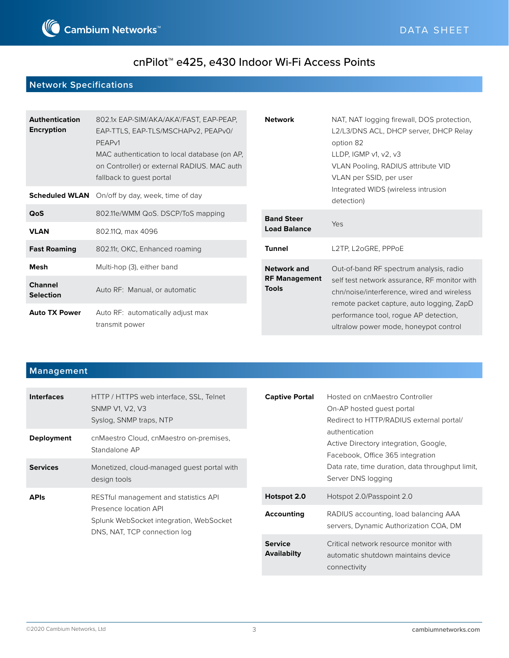

# **Network Specifications**

| <b>Authentication</b><br><b>Encryption</b> | 802.1x EAP-SIM/AKA/AKA'/FAST, EAP-PEAP,<br>EAP-TTLS, EAP-TLS/MSCHAPv2, PEAPv0/<br>PEAP <sub>v1</sub><br>MAC authentication to local database (on AP,<br>on Controller) or external RADIUS. MAC auth<br>fallback to guest portal | <b>Network</b>                       | NAT, NAT logging firewall, DOS protection,<br>L2/L3/DNS ACL, DHCP server, DHCP Relay<br>option 82<br>LLDP, IGMP $v1$ , $v2$ , $v3$<br>VLAN Pooling, RADIUS attribute VID<br>VLAN per SSID, per user |
|--------------------------------------------|---------------------------------------------------------------------------------------------------------------------------------------------------------------------------------------------------------------------------------|--------------------------------------|-----------------------------------------------------------------------------------------------------------------------------------------------------------------------------------------------------|
|                                            | <b>Scheduled WLAN</b> On/off by day, week, time of day                                                                                                                                                                          |                                      | Integrated WIDS (wireless intrusion<br>detection)                                                                                                                                                   |
| <b>QoS</b>                                 | 802.11e/WMM QoS. DSCP/ToS mapping                                                                                                                                                                                               | <b>Band Steer</b>                    | Yes                                                                                                                                                                                                 |
| <b>VLAN</b>                                | 802.11Q, max 4096                                                                                                                                                                                                               | <b>Load Balance</b>                  |                                                                                                                                                                                                     |
| <b>Fast Roaming</b>                        | 802.11r, OKC, Enhanced roaming                                                                                                                                                                                                  | <b>Tunnel</b>                        | L2TP, L2oGRE, PPPoE                                                                                                                                                                                 |
| Mesh                                       | Multi-hop (3), either band                                                                                                                                                                                                      | <b>Network and</b>                   | Out-of-band RF spectrum analysis, radio                                                                                                                                                             |
| <b>Channel</b><br><b>Selection</b>         | Auto RF: Manual, or automatic                                                                                                                                                                                                   | <b>RF Management</b><br><b>Tools</b> | self test network assurance, RF monitor with<br>chn/noise/interference, wired and wireless<br>remote packet capture, auto logging, ZapD                                                             |
| <b>Auto TX Power</b>                       | Auto RF: automatically adjust max<br>transmit power                                                                                                                                                                             |                                      | performance tool, rogue AP detection,<br>ultralow power mode, honeypot control                                                                                                                      |

# **Management**

| <b>Interfaces</b> | HTTP / HTTPS web interface, SSL, Telnet<br>SNMP V1, V2, V3<br>Syslog, SNMP traps, NTP                                                     | <b>Captive Portal</b><br>On-AP hosted quest portal | Hosted on cnMaestro Controller<br>Redirect to HTTP/RADIUS external portal/                    |
|-------------------|-------------------------------------------------------------------------------------------------------------------------------------------|----------------------------------------------------|-----------------------------------------------------------------------------------------------|
| <b>Deployment</b> | cnMaestro Cloud, cnMaestro on-premises,<br>Standalone AP                                                                                  |                                                    | authentication<br>Active Directory integration, Google,<br>Facebook, Office 365 integration   |
| <b>Services</b>   | Monetized, cloud-managed quest portal with<br>design tools                                                                                |                                                    | Data rate, time duration, data throughput limit,<br>Server DNS logging                        |
| <b>APIs</b>       | RESTful management and statistics API<br>Presence location API<br>Splunk WebSocket integration, WebSocket<br>DNS, NAT, TCP connection log | Hotspot 2.0                                        | Hotspot 2.0/Passpoint 2.0                                                                     |
|                   |                                                                                                                                           | Accounting                                         | RADIUS accounting, load balancing AAA<br>servers, Dynamic Authorization COA, DM               |
|                   |                                                                                                                                           | <b>Service</b><br><b>Availabilty</b>               | Critical network resource monitor with<br>automatic shutdown maintains device<br>connectivity |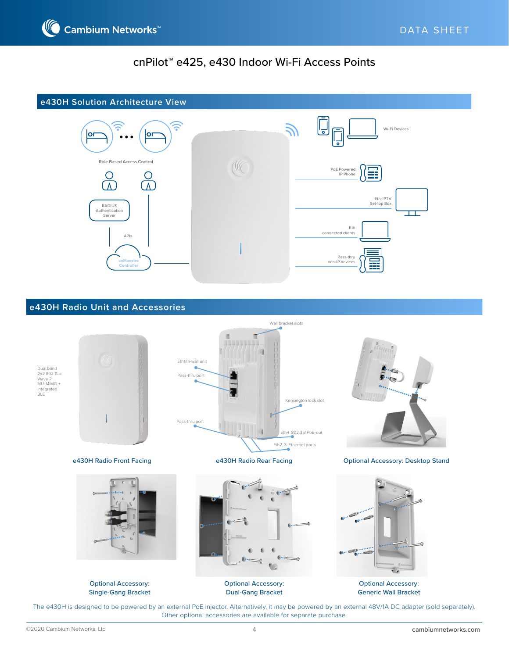



#### **e430H Radio Unit and Accessories**



Optional Accessory: Generic Wall Bracket

The e430H is designed to be powered by an external PoE injector. Alternatively, it may be powered by an external 48V/1A DC adapter (sold separately). Other optional accessories are available for separate purchase.

Dual-Gang Bracket

Single-Gang Bracket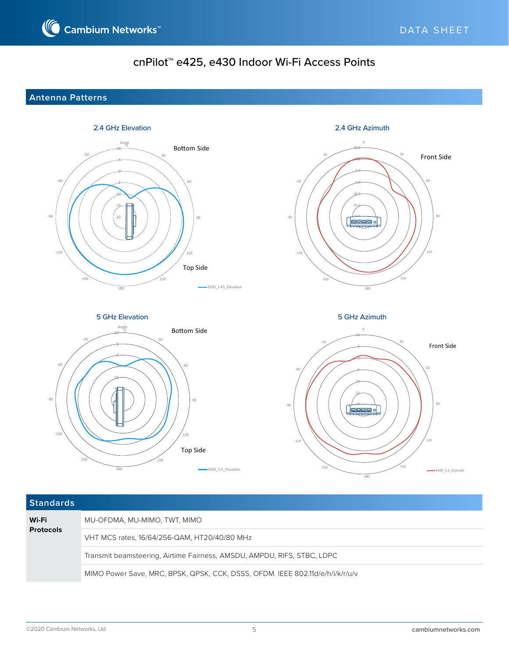### **Antenna Patterns**



| <b>Standards</b>          |                                                                               |
|---------------------------|-------------------------------------------------------------------------------|
| Wi-Fi<br><b>Protocols</b> | MU-OFDMA, MU-MIMO, TWT, MIMO                                                  |
|                           | VHT MCS rates, 16/64/256-QAM, HT20/40/80 MHz                                  |
|                           | Transmit beamsteering, Airtime Fairness, AMSDU, AMPDU, RIFS, STBC, LDPC       |
|                           | MIMO Power Save, MRC, BPSK, QPSK, CCK, DSSS, OFDM. IEEE 802.11d/e/h/i/k/r/u/v |